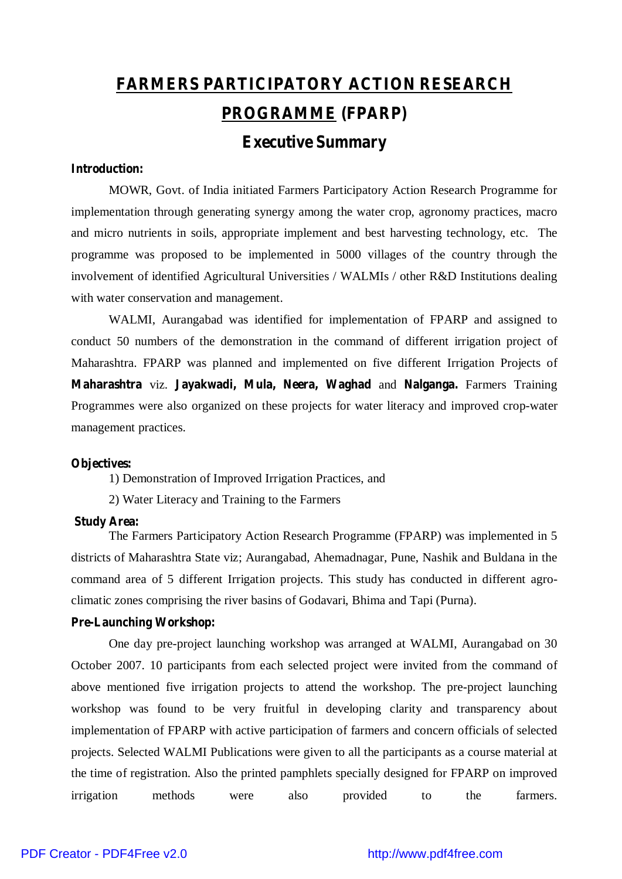# **FARMERS PARTICIPATORY ACTION RESEARCH PROGRAMME (FPARP)**

# **Executive Summary**

# **Introduction:**

MOWR, Govt. of India initiated Farmers Participatory Action Research Programme for implementation through generating synergy among the water crop, agronomy practices, macro and micro nutrients in soils, appropriate implement and best harvesting technology, etc. The programme was proposed to be implemented in 5000 villages of the country through the involvement of identified Agricultural Universities / WALMIs / other R&D Institutions dealing with water conservation and management.

WALMI, Aurangabad was identified for implementation of FPARP and assigned to conduct 50 numbers of the demonstration in the command of different irrigation project of Maharashtra. FPARP was planned and implemented on five different Irrigation Projects of **Maharashtra** viz. **Jayakwadi, Mula, Neera, Waghad** and **Nalganga.** Farmers Training Programmes were also organized on these projects for water literacy and improved crop-water management practices.

#### **Objectives:**

1) Demonstration of Improved Irrigation Practices, and

2) Water Literacy and Training to the Farmers

#### **Study Area:**

The Farmers Participatory Action Research Programme (FPARP) was implemented in 5 districts of Maharashtra State viz; Aurangabad, Ahemadnagar, Pune, Nashik and Buldana in the command area of 5 different Irrigation projects. This study has conducted in different agroclimatic zones comprising the river basins of Godavari, Bhima and Tapi (Purna).

# **Pre-Launching Workshop:**

One day pre-project launching workshop was arranged at WALMI, Aurangabad on 30 October 2007. 10 participants from each selected project were invited from the command of above mentioned five irrigation projects to attend the workshop. The pre-project launching workshop was found to be very fruitful in developing clarity and transparency about implementation of FPARP with active participation of farmers and concern officials of selected projects. Selected WALMI Publications were given to all the participants as a course material at the time of registration. Also the printed pamphlets specially designed for FPARP on improved irrigation methods were also provided to the farmers.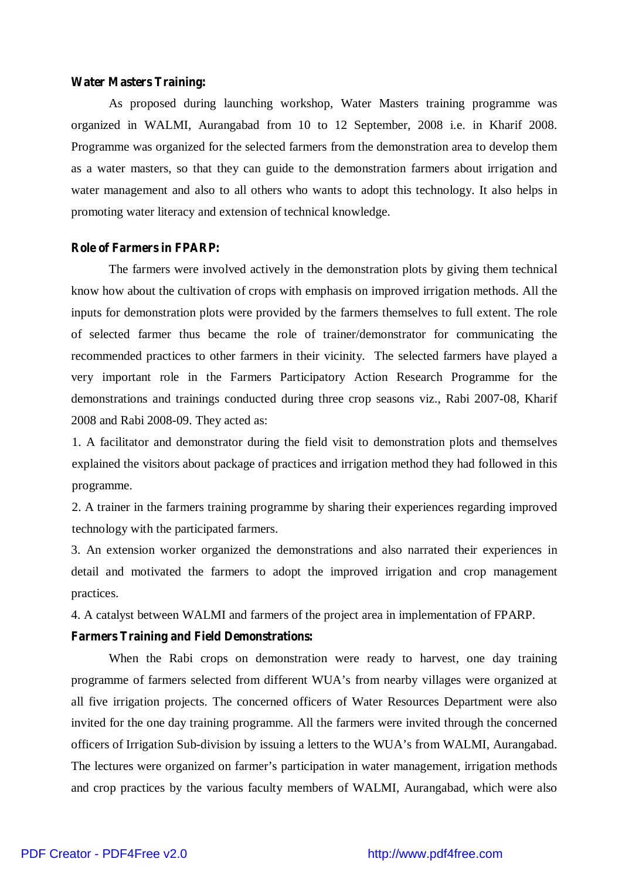#### **Water Masters Training:**

As proposed during launching workshop, Water Masters training programme was organized in WALMI, Aurangabad from 10 to 12 September, 2008 i.e. in Kharif 2008. Programme was organized for the selected farmers from the demonstration area to develop them as a water masters, so that they can guide to the demonstration farmers about irrigation and water management and also to all others who wants to adopt this technology. It also helps in promoting water literacy and extension of technical knowledge.

#### **Role of Farmers in FPARP:**

The farmers were involved actively in the demonstration plots by giving them technical know how about the cultivation of crops with emphasis on improved irrigation methods. All the inputs for demonstration plots were provided by the farmers themselves to full extent. The role of selected farmer thus became the role of trainer/demonstrator for communicating the recommended practices to other farmers in their vicinity. The selected farmers have played a very important role in the Farmers Participatory Action Research Programme for the demonstrations and trainings conducted during three crop seasons viz., Rabi 2007-08, Kharif 2008 and Rabi 2008-09. They acted as:

1. A facilitator and demonstrator during the field visit to demonstration plots and themselves explained the visitors about package of practices and irrigation method they had followed in this programme.

2. A trainer in the farmers training programme by sharing their experiences regarding improved technology with the participated farmers.

3. An extension worker organized the demonstrations and also narrated their experiences in detail and motivated the farmers to adopt the improved irrigation and crop management practices.

4. A catalyst between WALMI and farmers of the project area in implementation of FPARP.

#### **Farmers Training and Field Demonstrations:**

When the Rabi crops on demonstration were ready to harvest, one day training programme of farmers selected from different WUA's from nearby villages were organized at all five irrigation projects. The concerned officers of Water Resources Department were also invited for the one day training programme. All the farmers were invited through the concerned officers of Irrigation Sub-division by issuing a letters to the WUA's from WALMI, Aurangabad. The lectures were organized on farmer's participation in water management, irrigation methods and crop practices by the various faculty members of WALMI, Aurangabad, which were also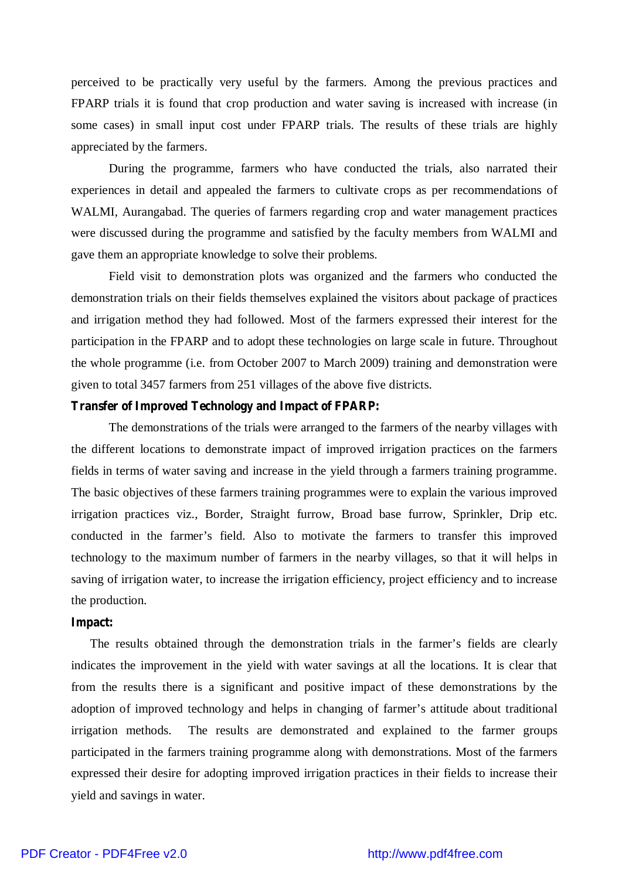perceived to be practically very useful by the farmers. Among the previous practices and FPARP trials it is found that crop production and water saving is increased with increase (in some cases) in small input cost under FPARP trials. The results of these trials are highly appreciated by the farmers.

During the programme, farmers who have conducted the trials, also narrated their experiences in detail and appealed the farmers to cultivate crops as per recommendations of WALMI, Aurangabad. The queries of farmers regarding crop and water management practices were discussed during the programme and satisfied by the faculty members from WALMI and gave them an appropriate knowledge to solve their problems.

Field visit to demonstration plots was organized and the farmers who conducted the demonstration trials on their fields themselves explained the visitors about package of practices and irrigation method they had followed. Most of the farmers expressed their interest for the participation in the FPARP and to adopt these technologies on large scale in future. Throughout the whole programme (i.e. from October 2007 to March 2009) training and demonstration were given to total 3457 farmers from 251 villages of the above five districts.

#### **Transfer of Improved Technology and Impact of FPARP:**

The demonstrations of the trials were arranged to the farmers of the nearby villages with the different locations to demonstrate impact of improved irrigation practices on the farmers fields in terms of water saving and increase in the yield through a farmers training programme. The basic objectives of these farmers training programmes were to explain the various improved irrigation practices viz., Border, Straight furrow, Broad base furrow, Sprinkler, Drip etc. conducted in the farmer's field. Also to motivate the farmers to transfer this improved technology to the maximum number of farmers in the nearby villages, so that it will helps in saving of irrigation water, to increase the irrigation efficiency, project efficiency and to increase the production.

#### **Impact:**

The results obtained through the demonstration trials in the farmer's fields are clearly indicates the improvement in the yield with water savings at all the locations. It is clear that from the results there is a significant and positive impact of these demonstrations by the adoption of improved technology and helps in changing of farmer's attitude about traditional irrigation methods. The results are demonstrated and explained to the farmer groups participated in the farmers training programme along with demonstrations. Most of the farmers expressed their desire for adopting improved irrigation practices in their fields to increase their yield and savings in water.